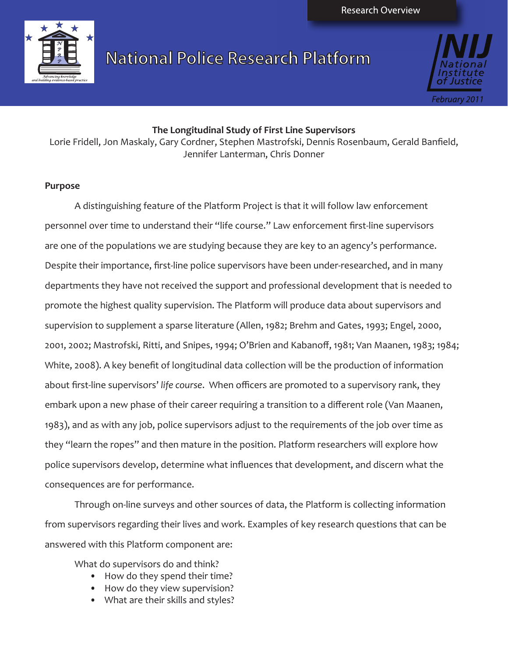

**National Police Research Platform** 



### **The Longitudinal Study of First Line Supervisors**

Lorie Fridell, Jon Maskaly, Gary Cordner, Stephen Mastrofski, Dennis Rosenbaum, Gerald Banfield, Jennifer Lanterman, Chris Donner

### **Purpose**

A distinguishing feature of the Platform Project is that it will follow law enforcement personnel over time to understand their "life course." Law enforcement first-line supervisors are one of the populations we are studying because they are key to an agency's performance. Despite their importance, first-line police supervisors have been under-researched, and in many departments they have not received the support and professional development that is needed to promote the highest quality supervision. The Platform will produce data about supervisors and supervision to supplement a sparse literature (Allen, 1982; Brehm and Gates, 1993; Engel, 2000, 2001, 2002; Mastrofski, Ritti, and Snipes, 1994; O'Brien and Kabanoff, 1981; Van Maanen, 1983; 1984; White, 2008). A key benefit of longitudinal data collection will be the production of information about first-line supervisors' *life course*. When officers are promoted to a supervisory rank, they embark upon a new phase of their career requiring a transition to a different role (Van Maanen, 1983), and as with any job, police supervisors adjust to the requirements of the job over time as they "learn the ropes" and then mature in the position. Platform researchers will explore how police supervisors develop, determine what influences that development, and discern what the consequences are for performance.

Through on-line surveys and other sources of data, the Platform is collecting information from supervisors regarding their lives and work. Examples of key research questions that can be answered with this Platform component are:

What do supervisors do and think?

- How do they spend their time?
- How do they view supervision?
- What are their skills and styles?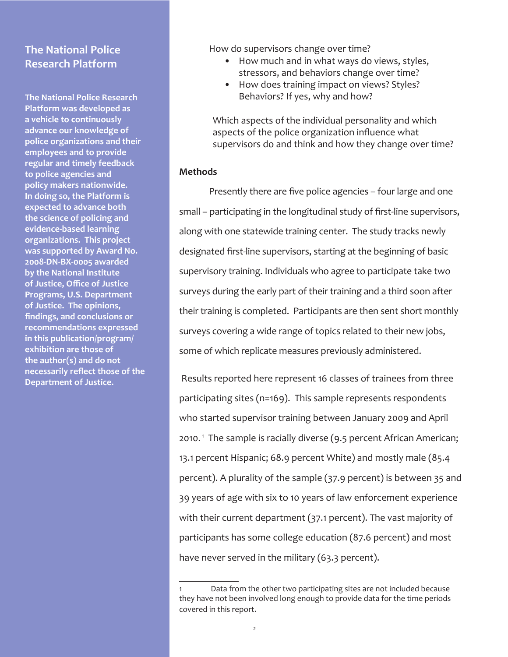## **The National Police Research Platform**

**The National Police Research Platform was developed as a vehicle to continuously advance our knowledge of police organizations and their employees and to provide regular and timely feedback to police agencies and policy makers nationwide. In doing so, the Platform is expected to advance both the science of policing and evidence-based learning organizations. This project was supported by Award No. 2008-DN-BX-0005 awarded by the National Institute of Justice, Office of Justice Programs, U.S. Department of Justice. The opinions, findings, and conclusions or recommendations expressed in this publication/program/ exhibition are those of the author(s) and do not necessarily reflect those of the Department of Justice.** 

How do supervisors change over time?

- How much and in what ways do views, styles, stressors, and behaviors change over time?
- How does training impact on views? Styles? Behaviors? If yes, why and how?

Which aspects of the individual personality and which aspects of the police organization influence what supervisors do and think and how they change over time?

### **Methods**

Presently there are five police agencies – four large and one small – participating in the longitudinal study of first-line supervisors, along with one statewide training center. The study tracks newly designated first-line supervisors, starting at the beginning of basic supervisory training. Individuals who agree to participate take two surveys during the early part of their training and a third soon after their training is completed. Participants are then sent short monthly surveys covering a wide range of topics related to their new jobs, some of which replicate measures previously administered.

 Results reported here represent 16 classes of trainees from three participating sites (n=169). This sample represents respondents who started supervisor training between January 2009 and April 2010.<sup>1</sup> The sample is racially diverse (9.5 percent African American; 13.1 percent Hispanic; 68.9 percent White) and mostly male (85.4 percent). A plurality of the sample (37.9 percent) is between 35 and 39 years of age with six to 10 years of law enforcement experience with their current department (37.1 percent). The vast majority of participants has some college education (87.6 percent) and most have never served in the military (63.3 percent).

<sup>1</sup> Data from the other two participating sites are not included because they have not been involved long enough to provide data for the time periods covered in this report.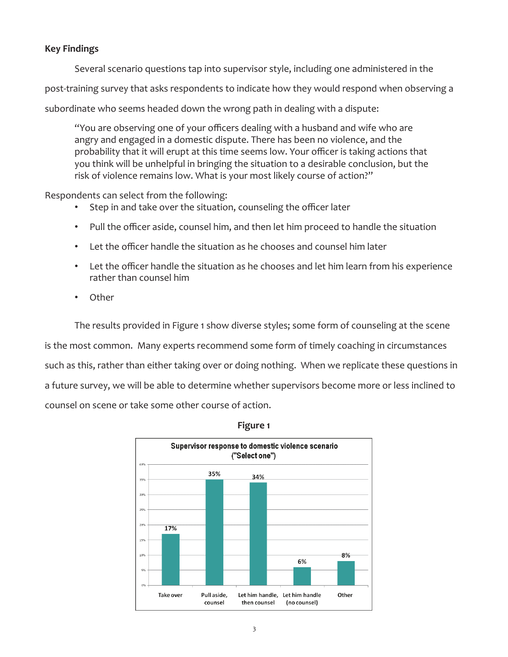## **Key Findings**

Several scenario questions tap into supervisor style, including one administered in the

post-training survey that asks respondents to indicate how they would respond when observing a

subordinate who seems headed down the wrong path in dealing with a dispute:

"You are observing one of your officers dealing with a husband and wife who are angry and engaged in a domestic dispute. There has been no violence, and the probability that it will erupt at this time seems low. Your officer is taking actions that you think will be unhelpful in bringing the situation to a desirable conclusion, but the risk of violence remains low. What is your most likely course of action?"

Respondents can select from the following:

- • Step in and take over the situation, counseling the officer later
- Pull the officer aside, counsel him, and then let him proceed to handle the situation
- • Let the officer handle the situation as he chooses and counsel him later
- • Let the officer handle the situation as he chooses and let him learn from his experience rather than counsel him
- • Other

The results provided in Figure 1 show diverse styles; some form of counseling at the scene is the most common. Many experts recommend some form of timely coaching in circumstances such as this, rather than either taking over or doing nothing. When we replicate these questions in a future survey, we will be able to determine whether supervisors become more or less inclined to counsel on scene or take some other course of action.



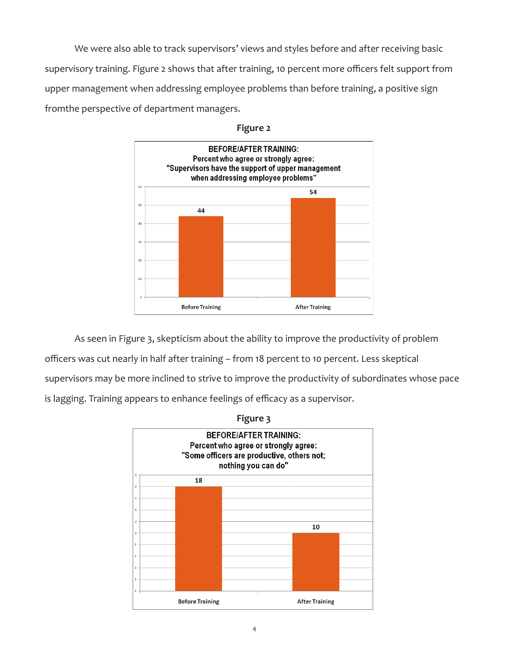We were also able to track supervisors' views and styles before and after receiving basic supervisory training. Figure 2 shows that after training, 10 percent more officers felt support from upper management when addressing employee problems than before training, a positive sign fromthe perspective of department managers.



**Figure 2**

As seen in Figure 3, skepticism about the ability to improve the productivity of problem officers was cut nearly in half after training – from 18 percent to 10 percent. Less skeptical supervisors may be more inclined to strive to improve the productivity of subordinates whose pace is lagging. Training appears to enhance feelings of efficacy as a supervisor.

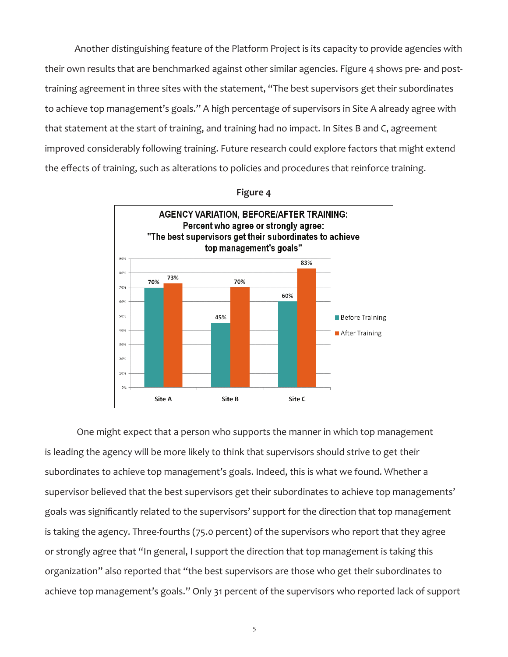Another distinguishing feature of the Platform Project is its capacity to provide agencies with their own results that are benchmarked against other similar agencies. Figure 4 shows pre- and posttraining agreement in three sites with the statement, "The best supervisors get their subordinates to achieve top management's goals." A high percentage of supervisors in Site A already agree with that statement at the start of training, and training had no impact. In Sites B and C, agreement improved considerably following training. Future research could explore factors that might extend the effects of training, such as alterations to policies and procedures that reinforce training.



**Figure 4**

 One might expect that a person who supports the manner in which top management is leading the agency will be more likely to think that supervisors should strive to get their subordinates to achieve top management's goals. Indeed, this is what we found. Whether a supervisor believed that the best supervisors get their subordinates to achieve top managements' goals was significantly related to the supervisors' support for the direction that top management is taking the agency. Three-fourths (75.0 percent) of the supervisors who report that they agree or strongly agree that "In general, I support the direction that top management is taking this organization" also reported that "the best supervisors are those who get their subordinates to achieve top management's goals." Only 31 percent of the supervisors who reported lack of support

5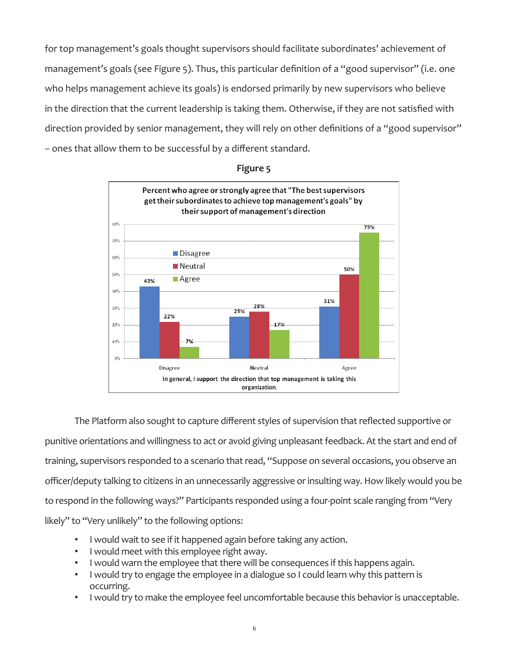for top management's goals thought supervisors should facilitate subordinates' achievement of management's goals (see Figure 5). Thus, this particular definition of a "good supervisor" (i.e. one who helps management achieve its goals) is endorsed primarily by new supervisors who believe in the direction that the current leadership is taking them. Otherwise, if they are not satisfied with direction provided by senior management, they will rely on other definitions of a "good supervisor" – ones that allow them to be successful by a different standard.



### **Figure 5**

The Platform also sought to capture different styles of supervision that reflected supportive or punitive orientations and willingness to act or avoid giving unpleasant feedback. At the start and end of training, supervisors responded to a scenario that read, "Suppose on several occasions, you observe an officer/deputy talking to citizens in an unnecessarily aggressive or insulting way. How likely would you be to respond in the following ways?" Participants responded using a four-point scale ranging from "Very likely" to "Very unlikely" to the following options:

- I would wait to see if it happened again before taking any action.
- I would meet with this employee right away.
- I would warn the employee that there will be consequences if this happens again.
- I would try to engage the employee in a dialogue so I could learn why this pattern is occurring.
- I would try to make the employee feel uncomfortable because this behavior is unacceptable.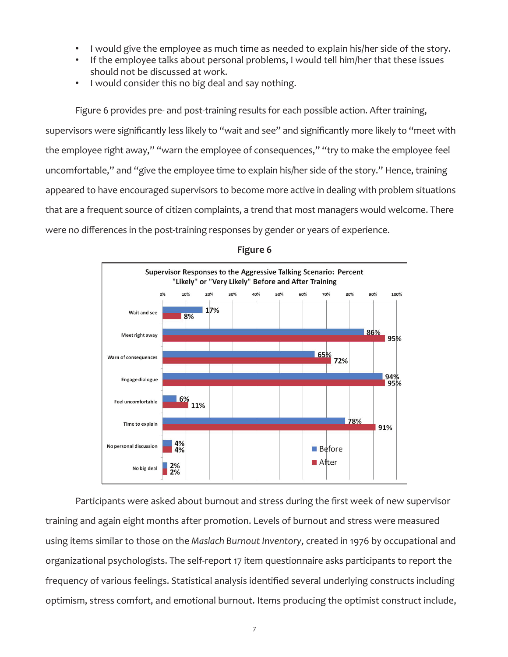- I would give the employee as much time as needed to explain his/her side of the story.
- If the employee talks about personal problems, I would tell him/her that these issues should not be discussed at work.
- I would consider this no big deal and say nothing.

Figure 6 provides pre- and post-training results for each possible action. After training, supervisors were significantly less likely to "wait and see" and significantly more likely to "meet with the employee right away," "warn the employee of consequences," "try to make the employee feel uncomfortable," and "give the employee time to explain his/her side of the story." Hence, training appeared to have encouraged supervisors to become more active in dealing with problem situations that are a frequent source of citizen complaints, a trend that most managers would welcome. There were no differences in the post-training responses by gender or years of experience.





Participants were asked about burnout and stress during the first week of new supervisor training and again eight months after promotion. Levels of burnout and stress were measured using items similar to those on the *Maslach Burnout Inventory*, created in 1976 by occupational and organizational psychologists. The self-report 17 item questionnaire asks participants to report the frequency of various feelings. Statistical analysis identified several underlying constructs including optimism, stress comfort, and emotional burnout. Items producing the optimist construct include,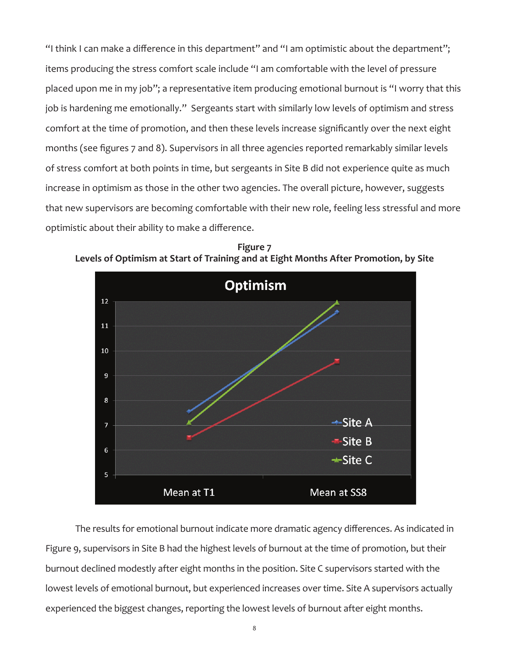"I think I can make a difference in this department" and "I am optimistic about the department"; items producing the stress comfort scale include "I am comfortable with the level of pressure placed upon me in my job"; a representative item producing emotional burnout is "I worry that this job is hardening me emotionally." Sergeants start with similarly low levels of optimism and stress comfort at the time of promotion, and then these levels increase significantly over the next eight months (see figures 7 and 8). Supervisors in all three agencies reported remarkably similar levels of stress comfort at both points in time, but sergeants in Site B did not experience quite as much increase in optimism as those in the other two agencies. The overall picture, however, suggests that new supervisors are becoming comfortable with their new role, feeling less stressful and more optimistic about their ability to make a difference.



**Figure 7 Levels of Optimism at Start of Training and at Eight Months After Promotion, by Site**

The results for emotional burnout indicate more dramatic agency differences. As indicated in Figure 9, supervisors in Site B had the highest levels of burnout at the time of promotion, but their burnout declined modestly after eight months in the position. Site C supervisors started with the lowest levels of emotional burnout, but experienced increases over time. Site A supervisors actually experienced the biggest changes, reporting the lowest levels of burnout after eight months.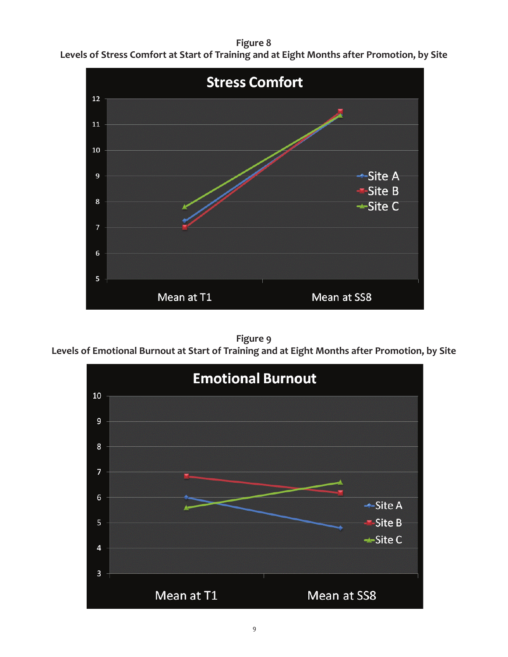## **Figure 8**



**Levels of Stress Comfort at Start of Training and at Eight Months after Promotion, by Site**

# **Figure 9**

**Levels of Emotional Burnout at Start of Training and at Eight Months after Promotion, by Site**

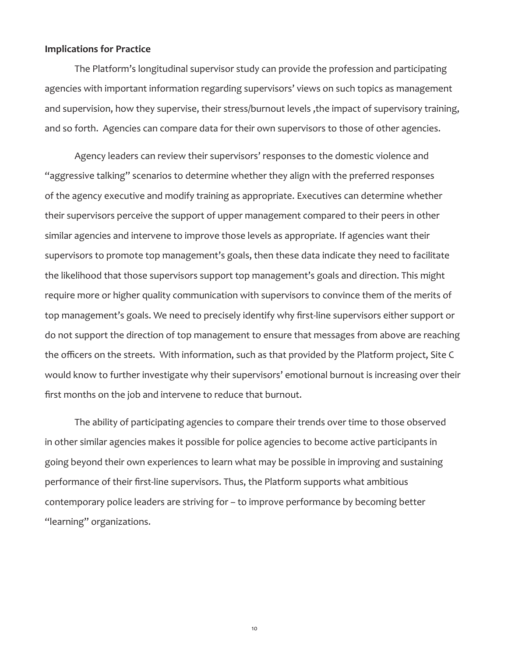#### **Implications for Practice**

The Platform's longitudinal supervisor study can provide the profession and participating agencies with important information regarding supervisors' views on such topics as management and supervision, how they supervise, their stress/burnout levels, the impact of supervisory training, and so forth. Agencies can compare data for their own supervisors to those of other agencies.

Agency leaders can review their supervisors' responses to the domestic violence and "aggressive talking" scenarios to determine whether they align with the preferred responses of the agency executive and modify training as appropriate. Executives can determine whether their supervisors perceive the support of upper management compared to their peers in other similar agencies and intervene to improve those levels as appropriate. If agencies want their supervisors to promote top management's goals, then these data indicate they need to facilitate the likelihood that those supervisors support top management's goals and direction. This might require more or higher quality communication with supervisors to convince them of the merits of top management's goals. We need to precisely identify why first-line supervisors either support or do not support the direction of top management to ensure that messages from above are reaching the officers on the streets. With information, such as that provided by the Platform project, Site C would know to further investigate why their supervisors' emotional burnout is increasing over their first months on the job and intervene to reduce that burnout.

The ability of participating agencies to compare their trends over time to those observed in other similar agencies makes it possible for police agencies to become active participants in going beyond their own experiences to learn what may be possible in improving and sustaining performance of their first-line supervisors. Thus, the Platform supports what ambitious contemporary police leaders are striving for – to improve performance by becoming better "learning" organizations.

10